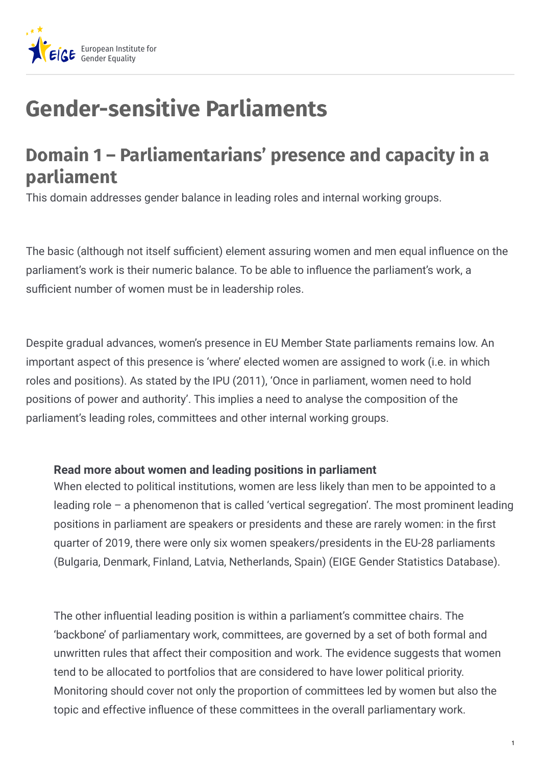

## **Gender-sensitive Parliaments**

## **Domain 1 – Parliamentarians' presence and capacity in a parliament**

This domain addresses gender balance in leading roles and internal working groups.

The basic (although not itself sufficient) element assuring women and men equal influence on the parliament's work is their numeric balance. To be able to influence the parliament's work, a sufficient number of women must be in leadership roles.

Despite gradual advances, women's presence in EU Member State parliaments remains low. An important aspect of this presence is 'where' elected women are assigned to work (i.e. in which roles and positions). As stated by the IPU (2011), 'Once in parliament, women need to hold positions of power and authority'. This implies a need to analyse the composition of the parliament's leading roles, committees and other internal working groups.

## **Read more about women and leading positions in parliament**

When elected to political institutions, women are less likely than men to be appointed to a leading role – a phenomenon that is called 'vertical segregation'. The most prominent leading positions in parliament are speakers or presidents and these are rarely women: in the first quarter of 2019, there were only six women speakers/presidents in the EU-28 parliaments (Bulgaria, Denmark, Finland, Latvia, Netherlands, Spain) (EIGE Gender Statistics Database).

The other influential leading position is within a parliament's committee chairs. The 'backbone' of parliamentary work, committees, are governed by a set of both formal and unwritten rules that affect their composition and work. The evidence suggests that women tend to be allocated to portfolios that are considered to have lower political priority. Monitoring should cover not only the proportion of committees led by women but also the topic and effective influence of these committees in the overall parliamentary work.